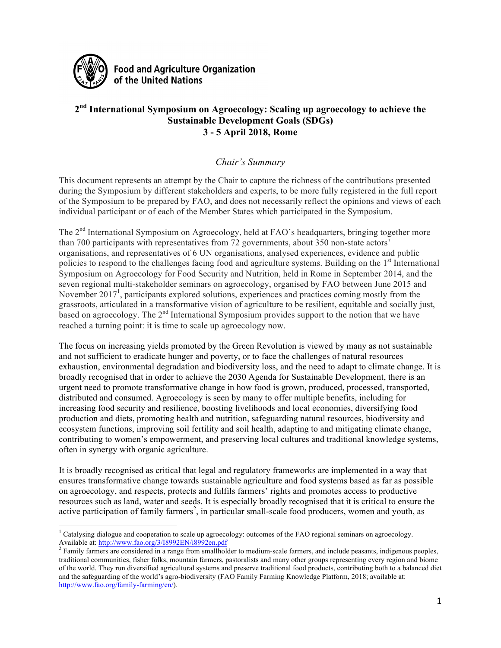

**Food and Agriculture Organization** of the United Nations

# **2nd International Symposium on Agroecology: Scaling up agroecology to achieve the Sustainable Development Goals (SDGs) 3 - 5 April 2018, Rome**

# *Chair's Summary*

This document represents an attempt by the Chair to capture the richness of the contributions presented during the Symposium by different stakeholders and experts, to be more fully registered in the full report of the Symposium to be prepared by FAO, and does not necessarily reflect the opinions and views of each individual participant or of each of the Member States which participated in the Symposium.

The 2<sup>nd</sup> International Symposium on Agroecology, held at FAO's headquarters, bringing together more than 700 participants with representatives from 72 governments, about 350 non-state actors' organisations, and representatives of 6 UN organisations, analysed experiences, evidence and public policies to respond to the challenges facing food and agriculture systems. Building on the 1<sup>st</sup> International Symposium on Agroecology for Food Security and Nutrition, held in Rome in September 2014, and the seven regional multi-stakeholder seminars on agroecology, organised by FAO between June 2015 and November 2017<sup>1</sup>, participants explored solutions, experiences and practices coming mostly from the grassroots, articulated in a transformative vision of agriculture to be resilient, equitable and socially just, based on agroecology. The  $2<sup>nd</sup>$  International Symposium provides support to the notion that we have reached a turning point: it is time to scale up agroecology now.

The focus on increasing yields promoted by the Green Revolution is viewed by many as not sustainable and not sufficient to eradicate hunger and poverty, or to face the challenges of natural resources exhaustion, environmental degradation and biodiversity loss, and the need to adapt to climate change. It is broadly recognised that in order to achieve the 2030 Agenda for Sustainable Development, there is an urgent need to promote transformative change in how food is grown, produced, processed, transported, distributed and consumed. Agroecology is seen by many to offer multiple benefits, including for increasing food security and resilience, boosting livelihoods and local economies, diversifying food production and diets, promoting health and nutrition, safeguarding natural resources, biodiversity and ecosystem functions, improving soil fertility and soil health, adapting to and mitigating climate change, contributing to women's empowerment, and preserving local cultures and traditional knowledge systems, often in synergy with organic agriculture.

It is broadly recognised as critical that legal and regulatory frameworks are implemented in a way that ensures transformative change towards sustainable agriculture and food systems based as far as possible on agroecology, and respects, protects and fulfils farmers' rights and promotes access to productive resources such as land, water and seeds. It is especially broadly recognised that it is critical to ensure the active participation of family farmers<sup>2</sup>, in particular small-scale food producers, women and youth, as

 <sup>1</sup> Catalysing dialogue and cooperation to scale up agroecology: outcomes of the FAO regional seminars on agroecology. Available at: http://www.fao.org/3/I8992EN/i8992en.pdf<br><sup>2</sup> Family farmers are considered in a range from smallholder to medium-scale farmers, and include peasants, indigenous peoples,

traditional communities, fisher folks, mountain farmers, pastoralists and many other groups representing every region and biome of the world. They run diversified agricultural systems and preserve traditional food products, contributing both to a balanced diet and the safeguarding of the world's agro-biodiversity (FAO Family Farming Knowledge Platform, 2018; available at: http://www.fao.org/family-farming/en/)*.*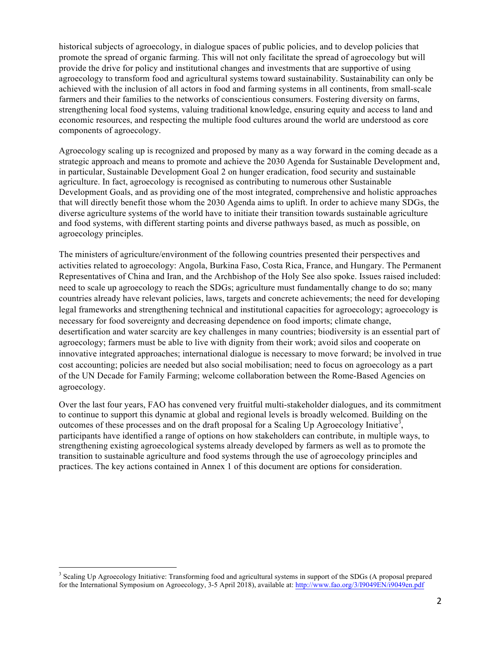historical subjects of agroecology, in dialogue spaces of public policies, and to develop policies that promote the spread of organic farming. This will not only facilitate the spread of agroecology but will provide the drive for policy and institutional changes and investments that are supportive of using agroecology to transform food and agricultural systems toward sustainability. Sustainability can only be achieved with the inclusion of all actors in food and farming systems in all continents, from small-scale farmers and their families to the networks of conscientious consumers. Fostering diversity on farms, strengthening local food systems, valuing traditional knowledge, ensuring equity and access to land and economic resources, and respecting the multiple food cultures around the world are understood as core components of agroecology.

Agroecology scaling up is recognized and proposed by many as a way forward in the coming decade as a strategic approach and means to promote and achieve the 2030 Agenda for Sustainable Development and, in particular, Sustainable Development Goal 2 on hunger eradication, food security and sustainable agriculture. In fact, agroecology is recognised as contributing to numerous other Sustainable Development Goals, and as providing one of the most integrated, comprehensive and holistic approaches that will directly benefit those whom the 2030 Agenda aims to uplift. In order to achieve many SDGs, the diverse agriculture systems of the world have to initiate their transition towards sustainable agriculture and food systems, with different starting points and diverse pathways based, as much as possible, on agroecology principles.

The ministers of agriculture/environment of the following countries presented their perspectives and activities related to agroecology: Angola, Burkina Faso, Costa Rica, France, and Hungary. The Permanent Representatives of China and Iran, and the Archbishop of the Holy See also spoke. Issues raised included: need to scale up agroecology to reach the SDGs; agriculture must fundamentally change to do so; many countries already have relevant policies, laws, targets and concrete achievements; the need for developing legal frameworks and strengthening technical and institutional capacities for agroecology; agroecology is necessary for food sovereignty and decreasing dependence on food imports; climate change, desertification and water scarcity are key challenges in many countries; biodiversity is an essential part of agroecology; farmers must be able to live with dignity from their work; avoid silos and cooperate on innovative integrated approaches; international dialogue is necessary to move forward; be involved in true cost accounting; policies are needed but also social mobilisation; need to focus on agroecology as a part of the UN Decade for Family Farming; welcome collaboration between the Rome-Based Agencies on agroecology.

Over the last four years, FAO has convened very fruitful multi-stakeholder dialogues, and its commitment to continue to support this dynamic at global and regional levels is broadly welcomed. Building on the outcomes of these processes and on the draft proposal for a Scaling Up Agroecology Initiative<sup>3</sup>, participants have identified a range of options on how stakeholders can contribute, in multiple ways, to strengthening existing agroecological systems already developed by farmers as well as to promote the transition to sustainable agriculture and food systems through the use of agroecology principles and practices. The key actions contained in Annex 1 of this document are options for consideration.

<sup>&</sup>lt;sup>3</sup> Scaling Up Agroecology Initiative: Transforming food and agricultural systems in support of the SDGs (A proposal prepared for the International Symposium on Agroecology, 3-5 April 2018), available at: http://www.fao.org/3/I9049EN/i9049en.pdf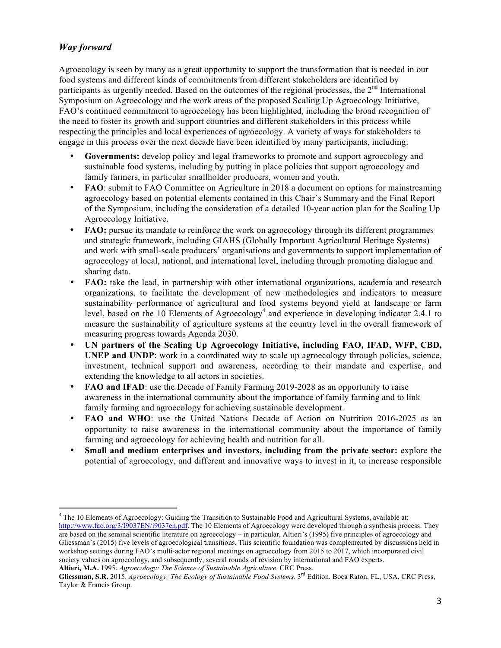# *Way forward*

Agroecology is seen by many as a great opportunity to support the transformation that is needed in our food systems and different kinds of commitments from different stakeholders are identified by participants as urgently needed. Based on the outcomes of the regional processes, the  $2<sup>nd</sup>$  International Symposium on Agroecology and the work areas of the proposed Scaling Up Agroecology Initiative, FAO's continued commitment to agroecology has been highlighted, including the broad recognition of the need to foster its growth and support countries and different stakeholders in this process while respecting the principles and local experiences of agroecology. A variety of ways for stakeholders to engage in this process over the next decade have been identified by many participants, including:

- **Governments:** develop policy and legal frameworks to promote and support agroecology and sustainable food systems, including by putting in place policies that support agroecology and family farmers, in particular smallholder producers, women and youth.
- **FAO**: submit to FAO Committee on Agriculture in 2018 a document on options for mainstreaming agroecology based on potential elements contained in this Chair´s Summary and the Final Report of the Symposium, including the consideration of a detailed 10-year action plan for the Scaling Up Agroecology Initiative.
- **FAO:** pursue its mandate to reinforce the work on agroecology through its different programmes and strategic framework, including GIAHS (Globally Important Agricultural Heritage Systems) and work with small-scale producers' organisations and governments to support implementation of agroecology at local, national, and international level, including through promoting dialogue and sharing data.
- **FAO:** take the lead, in partnership with other international organizations, academia and research organizations, to facilitate the development of new methodologies and indicators to measure sustainability performance of agricultural and food systems beyond yield at landscape or farm level, based on the 10 Elements of Agroecology<sup>4</sup> and experience in developing indicator 2.4.1 to measure the sustainability of agriculture systems at the country level in the overall framework of measuring progress towards Agenda 2030.
- **UN partners of the Scaling Up Agroecology Initiative, including FAO, IFAD, WFP, CBD, UNEP and UNDP**: work in a coordinated way to scale up agroecology through policies, science, investment, technical support and awareness, according to their mandate and expertise, and extending the knowledge to all actors in societies.
- **FAO and IFAD**: use the Decade of Family Farming 2019-2028 as an opportunity to raise awareness in the international community about the importance of family farming and to link family farming and agroecology for achieving sustainable development.
- **FAO and WHO**: use the United Nations Decade of Action on Nutrition 2016-2025 as an opportunity to raise awareness in the international community about the importance of family farming and agroecology for achieving health and nutrition for all.
- **Small and medium enterprises and investors, including from the private sector:** explore the potential of agroecology, and different and innovative ways to invest in it, to increase responsible

 <sup>4</sup> The 10 Elements of Agroecology: Guiding the Transition to Sustainable Food and Agricultural Systems, available at: http://www.fao.org/3/I9037EN/i9037en.pdf. The 10 Elements of Agroecology were developed through a synthesis process. They are based on the seminal scientific literature on agroecology – in particular, Altieri's (1995) five principles of agroecology and Gliessman's (2015) five levels of agroecological transitions. This scientific foundation was complemented by discussions held in workshop settings during FAO's multi-actor regional meetings on agroecology from 2015 to 2017, which incorporated civil society values on agroecology, and subsequently, several rounds of revision by international and FAO experts.

**Altieri, M.A.** 1995. *Agroecology: The Science of Sustainable Agriculture*. CRC Press.

**Gliessman, S.R.** 2015. *Agroecology: The Ecology of Sustainable Food Systems*. 3rd Edition. Boca Raton, FL, USA, CRC Press, Taylor & Francis Group.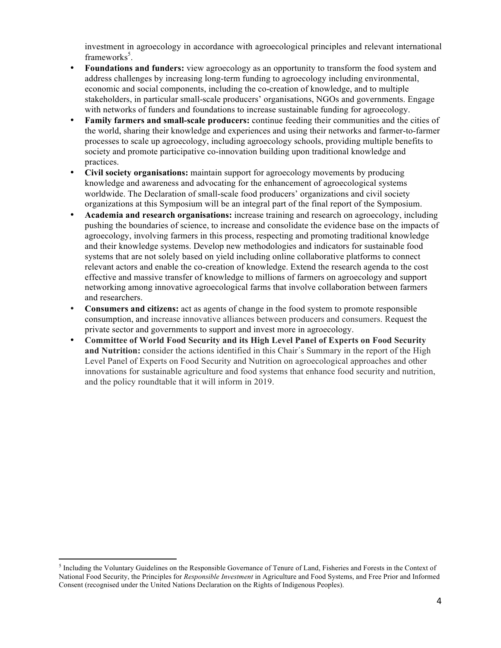investment in agroecology in accordance with agroecological principles and relevant international frameworks<sup>5</sup>.

- **Foundations and funders:** view agroecology as an opportunity to transform the food system and address challenges by increasing long-term funding to agroecology including environmental, economic and social components, including the co-creation of knowledge, and to multiple stakeholders, in particular small-scale producers' organisations, NGOs and governments. Engage with networks of funders and foundations to increase sustainable funding for agroecology.
- **Family farmers and small-scale producers:** continue feeding their communities and the cities of the world, sharing their knowledge and experiences and using their networks and farmer-to-farmer processes to scale up agroecology, including agroecology schools, providing multiple benefits to society and promote participative co-innovation building upon traditional knowledge and practices.
- **Civil society organisations:** maintain support for agroecology movements by producing knowledge and awareness and advocating for the enhancement of agroecological systems worldwide. The Declaration of small-scale food producers' organizations and civil society organizations at this Symposium will be an integral part of the final report of the Symposium.
- **Academia and research organisations:** increase training and research on agroecology, including pushing the boundaries of science, to increase and consolidate the evidence base on the impacts of agroecology, involving farmers in this process, respecting and promoting traditional knowledge and their knowledge systems. Develop new methodologies and indicators for sustainable food systems that are not solely based on yield including online collaborative platforms to connect relevant actors and enable the co-creation of knowledge. Extend the research agenda to the cost effective and massive transfer of knowledge to millions of farmers on agroecology and support networking among innovative agroecological farms that involve collaboration between farmers and researchers.
- **Consumers and citizens:** act as agents of change in the food system to promote responsible consumption, and increase innovative alliances between producers and consumers. Request the private sector and governments to support and invest more in agroecology.
- **Committee of World Food Security and its High Level Panel of Experts on Food Security and Nutrition:** consider the actions identified in this Chair´s Summary in the report of the High Level Panel of Experts on Food Security and Nutrition on agroecological approaches and other innovations for sustainable agriculture and food systems that enhance food security and nutrition, and the policy roundtable that it will inform in 2019.

<sup>&</sup>lt;sup>5</sup> Including the Voluntary Guidelines on the Responsible Governance of Tenure of Land, Fisheries and Forests in the Context of National Food Security, the Principles for *Responsible Investment* in Agriculture and Food Systems, and Free Prior and Informed Consent (recognised under the United Nations Declaration on the Rights of Indigenous Peoples).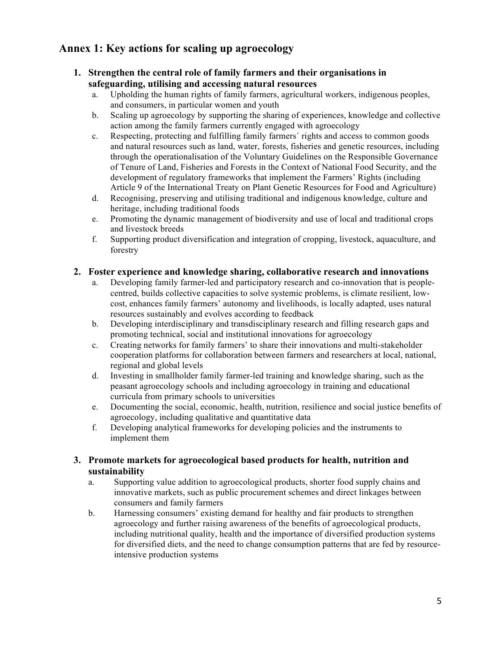# **Annex 1: Key actions for scaling up agroecology**

- **1. Strengthen the central role of family farmers and their organisations in safeguarding, utilising and accessing natural resources** 
	- a. Upholding the human rights of family farmers, agricultural workers, indigenous peoples, and consumers, in particular women and youth
	- b. Scaling up agroecology by supporting the sharing of experiences, knowledge and collective action among the family farmers currently engaged with agroecology
	- c. Respecting, protecting and fulfilling family farmers´ rights and access to common goods and natural resources such as land, water, forests, fisheries and genetic resources, including through the operationalisation of the Voluntary Guidelines on the Responsible Governance of Tenure of Land, Fisheries and Forests in the Context of National Food Security, and the development of regulatory frameworks that implement the Farmers' Rights (including Article 9 of the International Treaty on Plant Genetic Resources for Food and Agriculture)
	- d. Recognising, preserving and utilising traditional and indigenous knowledge, culture and heritage, including traditional foods
	- e. Promoting the dynamic management of biodiversity and use of local and traditional crops and livestock breeds
	- f. Supporting product diversification and integration of cropping, livestock, aquaculture, and forestry

#### **2. Foster experience and knowledge sharing, collaborative research and innovations**

- a. Developing family farmer-led and participatory research and co-innovation that is peoplecentred, builds collective capacities to solve systemic problems, is climate resilient, lowcost, enhances family farmers' autonomy and livelihoods, is locally adapted, uses natural resources sustainably and evolves according to feedback
- b. Developing interdisciplinary and transdisciplinary research and filling research gaps and promoting technical, social and institutional innovations for agroecology
- c. Creating networks for family farmers' to share their innovations and multi-stakeholder cooperation platforms for collaboration between farmers and researchers at local, national, regional and global levels
- d. Investing in smallholder family farmer-led training and knowledge sharing, such as the peasant agroecology schools and including agroecology in training and educational curricula from primary schools to universities
- e. Documenting the social, economic, health, nutrition, resilience and social justice benefits of agroecology, including qualitative and quantitative data
- f. Developing analytical frameworks for developing policies and the instruments to implement them

#### **3. Promote markets for agroecological based products for health, nutrition and sustainability**

- a. Supporting value addition to agroecological products, shorter food supply chains and innovative markets, such as public procurement schemes and direct linkages between consumers and family farmers
- b. Harnessing consumers' existing demand for healthy and fair products to strengthen agroecology and further raising awareness of the benefits of agroecological products, including nutritional quality, health and the importance of diversified production systems for diversified diets, and the need to change consumption patterns that are fed by resourceintensive production systems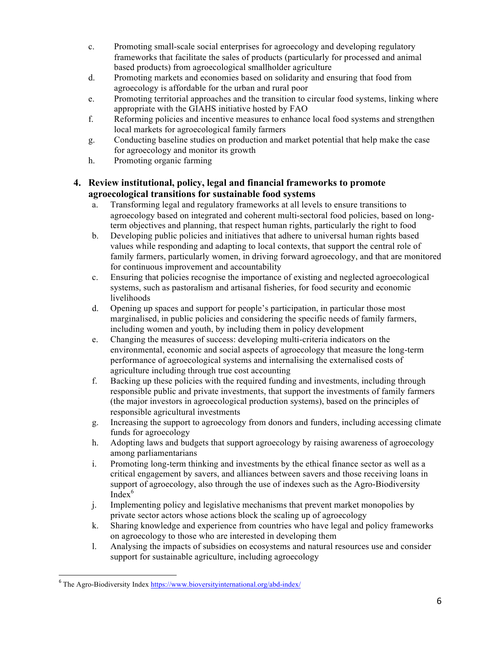- c. Promoting small-scale social enterprises for agroecology and developing regulatory frameworks that facilitate the sales of products (particularly for processed and animal based products) from agroecological smallholder agriculture
- d. Promoting markets and economies based on solidarity and ensuring that food from agroecology is affordable for the urban and rural poor
- e. Promoting territorial approaches and the transition to circular food systems, linking where appropriate with the GIAHS initiative hosted by FAO
- f. Reforming policies and incentive measures to enhance local food systems and strengthen local markets for agroecological family farmers
- g. Conducting baseline studies on production and market potential that help make the case for agroecology and monitor its growth
- h. Promoting organic farming

### **4. Review institutional, policy, legal and financial frameworks to promote agroecological transitions for sustainable food systems**

- a. Transforming legal and regulatory frameworks at all levels to ensure transitions to agroecology based on integrated and coherent multi-sectoral food policies, based on longterm objectives and planning, that respect human rights, particularly the right to food
- b. Developing public policies and initiatives that adhere to universal human rights based values while responding and adapting to local contexts, that support the central role of family farmers, particularly women, in driving forward agroecology, and that are monitored for continuous improvement and accountability
- c. Ensuring that policies recognise the importance of existing and neglected agroecological systems, such as pastoralism and artisanal fisheries, for food security and economic livelihoods
- d. Opening up spaces and support for people's participation, in particular those most marginalised, in public policies and considering the specific needs of family farmers, including women and youth, by including them in policy development
- e. Changing the measures of success: developing multi-criteria indicators on the environmental, economic and social aspects of agroecology that measure the long-term performance of agroecological systems and internalising the externalised costs of agriculture including through true cost accounting
- f. Backing up these policies with the required funding and investments, including through responsible public and private investments, that support the investments of family farmers (the major investors in agroecological production systems), based on the principles of responsible agricultural investments
- g. Increasing the support to agroecology from donors and funders, including accessing climate funds for agroecology
- h. Adopting laws and budgets that support agroecology by raising awareness of agroecology among parliamentarians
- i. Promoting long-term thinking and investments by the ethical finance sector as well as a critical engagement by savers, and alliances between savers and those receiving loans in support of agroecology, also through the use of indexes such as the Agro-Biodiversity  $Index<sup>6</sup>$
- j. Implementing policy and legislative mechanisms that prevent market monopolies by private sector actors whose actions block the scaling up of agroecology
- k. Sharing knowledge and experience from countries who have legal and policy frameworks on agroecology to those who are interested in developing them
- l. Analysing the impacts of subsidies on ecosystems and natural resources use and consider support for sustainable agriculture, including agroecology

 $6$  The Agro-Biodiversity Index https://www.bioversityinternational.org/abd-index/